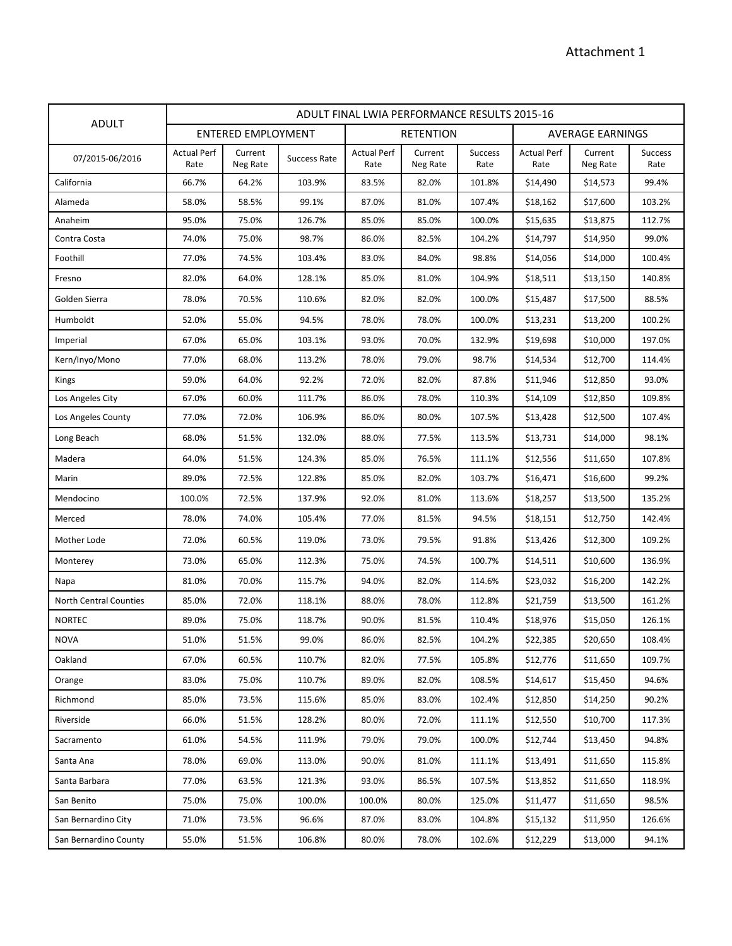|                               | ADULT FINAL LWIA PERFORMANCE RESULTS 2015-16 |                           |              |                            |                     |                        |                            |                     |                        |  |
|-------------------------------|----------------------------------------------|---------------------------|--------------|----------------------------|---------------------|------------------------|----------------------------|---------------------|------------------------|--|
| <b>ADULT</b>                  |                                              | <b>ENTERED EMPLOYMENT</b> |              |                            | <b>RETENTION</b>    |                        |                            | AVERAGE EARNINGS    |                        |  |
| 07/2015-06/2016               | <b>Actual Perf</b><br>Rate                   | Current<br>Neg Rate       | Success Rate | <b>Actual Perf</b><br>Rate | Current<br>Neg Rate | <b>Success</b><br>Rate | <b>Actual Perf</b><br>Rate | Current<br>Neg Rate | <b>Success</b><br>Rate |  |
| California                    | 66.7%                                        | 64.2%                     | 103.9%       | 83.5%                      | 82.0%               | 101.8%                 | \$14,490                   | \$14,573            | 99.4%                  |  |
| Alameda                       | 58.0%                                        | 58.5%                     | 99.1%        | 87.0%                      | 81.0%               | 107.4%                 | \$18,162                   | \$17,600            | 103.2%                 |  |
| Anaheim                       | 95.0%                                        | 75.0%                     | 126.7%       | 85.0%                      | 85.0%               | 100.0%                 | \$15,635                   | \$13,875            | 112.7%                 |  |
| Contra Costa                  | 74.0%                                        | 75.0%                     | 98.7%        | 86.0%                      | 82.5%               | 104.2%                 | \$14,797                   | \$14,950            | 99.0%                  |  |
| Foothill                      | 77.0%                                        | 74.5%                     | 103.4%       | 83.0%                      | 84.0%               | 98.8%                  | \$14,056                   | \$14,000            | 100.4%                 |  |
| Fresno                        | 82.0%                                        | 64.0%                     | 128.1%       | 85.0%                      | 81.0%               | 104.9%                 | \$18,511                   | \$13,150            | 140.8%                 |  |
| Golden Sierra                 | 78.0%                                        | 70.5%                     | 110.6%       | 82.0%                      | 82.0%               | 100.0%                 | \$15,487                   | \$17,500            | 88.5%                  |  |
| Humboldt                      | 52.0%                                        | 55.0%                     | 94.5%        | 78.0%                      | 78.0%               | 100.0%                 | \$13,231                   | \$13,200            | 100.2%                 |  |
| Imperial                      | 67.0%                                        | 65.0%                     | 103.1%       | 93.0%                      | 70.0%               | 132.9%                 | \$19,698                   | \$10,000            | 197.0%                 |  |
| Kern/Inyo/Mono                | 77.0%                                        | 68.0%                     | 113.2%       | 78.0%                      | 79.0%               | 98.7%                  | \$14,534                   | \$12,700            | 114.4%                 |  |
| Kings                         | 59.0%                                        | 64.0%                     | 92.2%        | 72.0%                      | 82.0%               | 87.8%                  | \$11,946                   | \$12,850            | 93.0%                  |  |
| Los Angeles City              | 67.0%                                        | 60.0%                     | 111.7%       | 86.0%                      | 78.0%               | 110.3%                 | \$14,109                   | \$12,850            | 109.8%                 |  |
| Los Angeles County            | 77.0%                                        | 72.0%                     | 106.9%       | 86.0%                      | 80.0%               | 107.5%                 | \$13,428                   | \$12,500            | 107.4%                 |  |
| Long Beach                    | 68.0%                                        | 51.5%                     | 132.0%       | 88.0%                      | 77.5%               | 113.5%                 | \$13,731                   | \$14,000            | 98.1%                  |  |
| Madera                        | 64.0%                                        | 51.5%                     | 124.3%       | 85.0%                      | 76.5%               | 111.1%                 | \$12,556                   | \$11,650            | 107.8%                 |  |
| Marin                         | 89.0%                                        | 72.5%                     | 122.8%       | 85.0%                      | 82.0%               | 103.7%                 | \$16,471                   | \$16,600            | 99.2%                  |  |
| Mendocino                     | 100.0%                                       | 72.5%                     | 137.9%       | 92.0%                      | 81.0%               | 113.6%                 | \$18,257                   | \$13,500            | 135.2%                 |  |
| Merced                        | 78.0%                                        | 74.0%                     | 105.4%       | 77.0%                      | 81.5%               | 94.5%                  | \$18,151                   | \$12,750            | 142.4%                 |  |
| Mother Lode                   | 72.0%                                        | 60.5%                     | 119.0%       | 73.0%                      | 79.5%               | 91.8%                  | \$13,426                   | \$12,300            | 109.2%                 |  |
| Monterey                      | 73.0%                                        | 65.0%                     | 112.3%       | 75.0%                      | 74.5%               | 100.7%                 | \$14,511                   | \$10,600            | 136.9%                 |  |
| Napa                          | 81.0%                                        | 70.0%                     | 115.7%       | 94.0%                      | 82.0%               | 114.6%                 | \$23,032                   | \$16,200            | 142.2%                 |  |
| <b>North Central Counties</b> | 85.0%                                        | 72.0%                     | 118.1%       | 88.0%                      | 78.0%               | 112.8%                 | \$21,759                   | \$13,500            | 161.2%                 |  |
| <b>NORTEC</b>                 | 89.0%                                        | 75.0%                     | 118.7%       | 90.0%                      | 81.5%               | 110.4%                 | \$18,976                   | \$15,050            | 126.1%                 |  |
| <b>NOVA</b>                   | 51.0%                                        | 51.5%                     | 99.0%        | 86.0%                      | 82.5%               | 104.2%                 | \$22,385                   | \$20,650            | 108.4%                 |  |
| Oakland                       | 67.0%                                        | 60.5%                     | 110.7%       | 82.0%                      | 77.5%               | 105.8%                 | \$12,776                   | \$11,650            | 109.7%                 |  |
| Orange                        | 83.0%                                        | 75.0%                     | 110.7%       | 89.0%                      | 82.0%               | 108.5%                 | \$14,617                   | \$15,450            | 94.6%                  |  |
| Richmond                      | 85.0%                                        | 73.5%                     | 115.6%       | 85.0%                      | 83.0%               | 102.4%                 | \$12,850                   | \$14,250            | 90.2%                  |  |
| Riverside                     | 66.0%                                        | 51.5%                     | 128.2%       | 80.0%                      | 72.0%               | 111.1%                 | \$12,550                   | \$10,700            | 117.3%                 |  |
| Sacramento                    | 61.0%                                        | 54.5%                     | 111.9%       | 79.0%                      | 79.0%               | 100.0%                 | \$12,744                   | \$13,450            | 94.8%                  |  |
| Santa Ana                     | 78.0%                                        | 69.0%                     | 113.0%       | 90.0%                      | 81.0%               | 111.1%                 | \$13,491                   | \$11,650            | 115.8%                 |  |
| Santa Barbara                 | 77.0%                                        | 63.5%                     | 121.3%       | 93.0%                      | 86.5%               | 107.5%                 | \$13,852                   | \$11,650            | 118.9%                 |  |
| San Benito                    | 75.0%                                        | 75.0%                     | 100.0%       | 100.0%                     | 80.0%               | 125.0%                 | \$11,477                   | \$11,650            | 98.5%                  |  |
| San Bernardino City           | 71.0%                                        | 73.5%                     | 96.6%        | 87.0%                      | 83.0%               | 104.8%                 | \$15,132                   | \$11,950            | 126.6%                 |  |
| San Bernardino County         | 55.0%                                        | 51.5%                     | 106.8%       | 80.0%                      | 78.0%               | 102.6%                 | \$12,229                   | \$13,000            | 94.1%                  |  |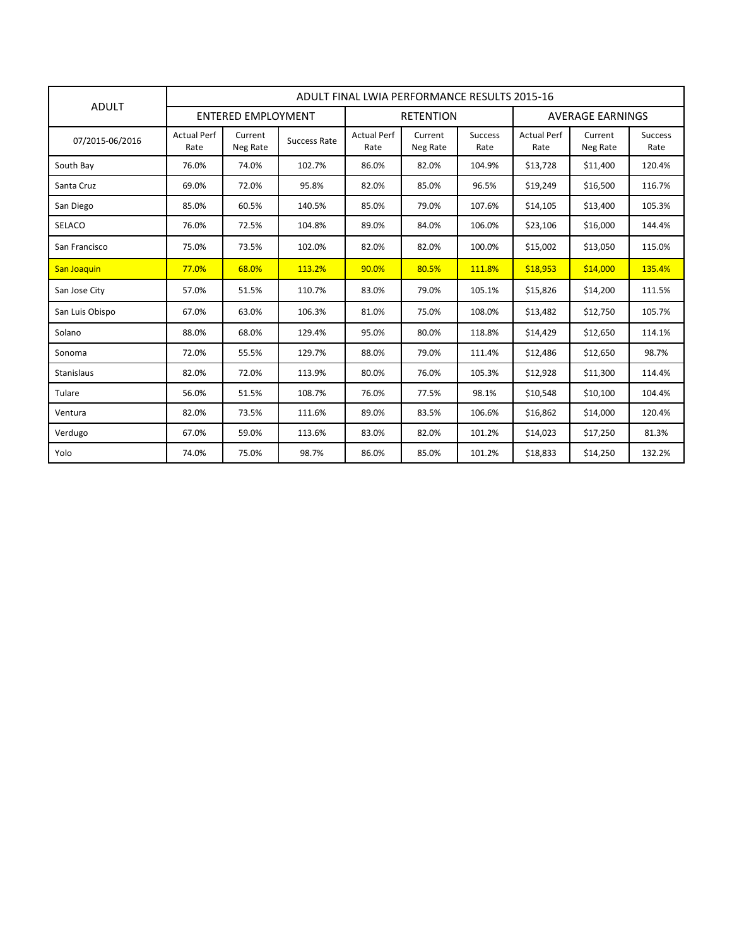| <b>ADULT</b>       |                            | ADULT FINAL LWIA PERFORMANCE RESULTS 2015-16 |              |                            |                     |                        |                            |                     |                        |  |  |  |
|--------------------|----------------------------|----------------------------------------------|--------------|----------------------------|---------------------|------------------------|----------------------------|---------------------|------------------------|--|--|--|
|                    | <b>ENTERED EMPLOYMENT</b>  |                                              |              | <b>RETENTION</b>           |                     |                        | <b>AVERAGE EARNINGS</b>    |                     |                        |  |  |  |
| 07/2015-06/2016    | <b>Actual Perf</b><br>Rate | Current<br>Neg Rate                          | Success Rate | <b>Actual Perf</b><br>Rate | Current<br>Neg Rate | <b>Success</b><br>Rate | <b>Actual Perf</b><br>Rate | Current<br>Neg Rate | <b>Success</b><br>Rate |  |  |  |
| South Bay          | 76.0%                      | 74.0%                                        | 102.7%       | 86.0%                      | 82.0%               | 104.9%                 | \$13,728                   | \$11,400            | 120.4%                 |  |  |  |
| Santa Cruz         | 69.0%                      | 72.0%                                        | 95.8%        | 82.0%                      | 85.0%               | 96.5%                  | \$19,249                   | \$16,500            | 116.7%                 |  |  |  |
| San Diego          | 85.0%                      | 60.5%                                        | 140.5%       | 85.0%                      | 79.0%               | 107.6%                 | \$14,105                   | \$13,400            | 105.3%                 |  |  |  |
| <b>SELACO</b>      | 76.0%                      | 72.5%                                        | 104.8%       | 89.0%                      | 84.0%               | 106.0%                 | \$23,106                   | \$16,000            | 144.4%                 |  |  |  |
| San Francisco      | 75.0%                      | 73.5%                                        | 102.0%       | 82.0%                      | 82.0%               | 100.0%                 | \$15,002                   | \$13,050            | 115.0%                 |  |  |  |
| <b>San Joaquin</b> | 77.0%                      | 68.0%                                        | 113.2%       | 90.0%                      | 80.5%               | 111.8%                 | \$18,953                   | \$14,000            | 135.4%                 |  |  |  |
| San Jose City      | 57.0%                      | 51.5%                                        | 110.7%       | 83.0%                      | 79.0%               | 105.1%                 | \$15,826                   | \$14,200            | 111.5%                 |  |  |  |
| San Luis Obispo    | 67.0%                      | 63.0%                                        | 106.3%       | 81.0%                      | 75.0%               | 108.0%                 | \$13,482                   | \$12,750            | 105.7%                 |  |  |  |
| Solano             | 88.0%                      | 68.0%                                        | 129.4%       | 95.0%                      | 80.0%               | 118.8%                 | \$14,429                   | \$12,650            | 114.1%                 |  |  |  |
| Sonoma             | 72.0%                      | 55.5%                                        | 129.7%       | 88.0%                      | 79.0%               | 111.4%                 | \$12,486                   | \$12,650            | 98.7%                  |  |  |  |
| Stanislaus         | 82.0%                      | 72.0%                                        | 113.9%       | 80.0%                      | 76.0%               | 105.3%                 | \$12,928                   | \$11,300            | 114.4%                 |  |  |  |
| Tulare             | 56.0%                      | 51.5%                                        | 108.7%       | 76.0%                      | 77.5%               | 98.1%                  | \$10,548                   | \$10,100            | 104.4%                 |  |  |  |
| Ventura            | 82.0%                      | 73.5%                                        | 111.6%       | 89.0%                      | 83.5%               | 106.6%                 | \$16,862                   | \$14,000            | 120.4%                 |  |  |  |
| Verdugo            | 67.0%                      | 59.0%                                        | 113.6%       | 83.0%                      | 82.0%               | 101.2%                 | \$14,023                   | \$17,250            | 81.3%                  |  |  |  |
| Yolo               | 74.0%                      | 75.0%                                        | 98.7%        | 86.0%                      | 85.0%               | 101.2%                 | \$18,833                   | \$14,250            | 132.2%                 |  |  |  |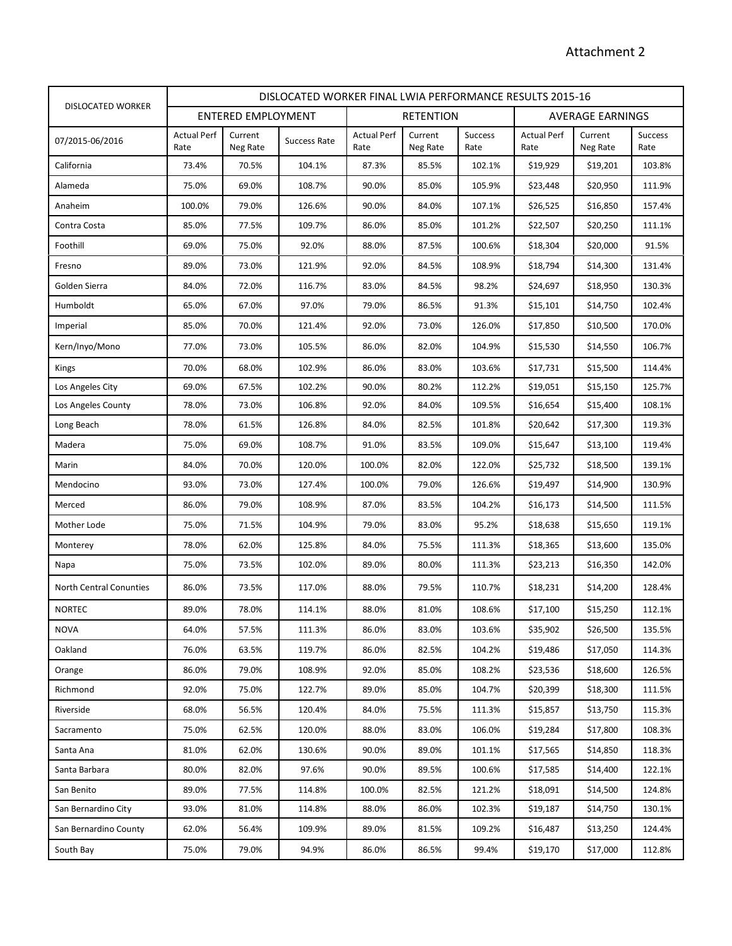|                                | DISLOCATED WORKER FINAL LWIA PERFORMANCE RESULTS 2015-16 |                     |                     |                            |                     |                        |                            |                     |                        |
|--------------------------------|----------------------------------------------------------|---------------------|---------------------|----------------------------|---------------------|------------------------|----------------------------|---------------------|------------------------|
| <b>DISLOCATED WORKER</b>       |                                                          | ENTERED EMPLOYMENT  |                     | <b>RETENTION</b>           |                     |                        | <b>AVERAGE EARNINGS</b>    |                     |                        |
| 07/2015-06/2016                | <b>Actual Perf</b><br>Rate                               | Current<br>Neg Rate | <b>Success Rate</b> | <b>Actual Perf</b><br>Rate | Current<br>Neg Rate | <b>Success</b><br>Rate | <b>Actual Perf</b><br>Rate | Current<br>Neg Rate | <b>Success</b><br>Rate |
| California                     | 73.4%                                                    | 70.5%               | 104.1%              | 87.3%                      | 85.5%               | 102.1%                 | \$19,929                   | \$19,201            | 103.8%                 |
| Alameda                        | 75.0%                                                    | 69.0%               | 108.7%              | 90.0%                      | 85.0%               | 105.9%                 | \$23,448                   | \$20,950            | 111.9%                 |
| Anaheim                        | 100.0%                                                   | 79.0%               | 126.6%              | 90.0%                      | 84.0%               | 107.1%                 | \$26,525                   | \$16,850            | 157.4%                 |
| Contra Costa                   | 85.0%                                                    | 77.5%               | 109.7%              | 86.0%                      | 85.0%               | 101.2%                 | \$22,507                   | \$20,250            | 111.1%                 |
| Foothill                       | 69.0%                                                    | 75.0%               | 92.0%               | 88.0%                      | 87.5%               | 100.6%                 | \$18,304                   | \$20,000            | 91.5%                  |
| Fresno                         | 89.0%                                                    | 73.0%               | 121.9%              | 92.0%                      | 84.5%               | 108.9%                 | \$18,794                   | \$14,300            | 131.4%                 |
| Golden Sierra                  | 84.0%                                                    | 72.0%               | 116.7%              | 83.0%                      | 84.5%               | 98.2%                  | \$24,697                   | \$18,950            | 130.3%                 |
| Humboldt                       | 65.0%                                                    | 67.0%               | 97.0%               | 79.0%                      | 86.5%               | 91.3%                  | \$15,101                   | \$14,750            | 102.4%                 |
| Imperial                       | 85.0%                                                    | 70.0%               | 121.4%              | 92.0%                      | 73.0%               | 126.0%                 | \$17,850                   | \$10,500            | 170.0%                 |
| Kern/Inyo/Mono                 | 77.0%                                                    | 73.0%               | 105.5%              | 86.0%                      | 82.0%               | 104.9%                 | \$15,530                   | \$14,550            | 106.7%                 |
| Kings                          | 70.0%                                                    | 68.0%               | 102.9%              | 86.0%                      | 83.0%               | 103.6%                 | \$17,731                   | \$15,500            | 114.4%                 |
| Los Angeles City               | 69.0%                                                    | 67.5%               | 102.2%              | 90.0%                      | 80.2%               | 112.2%                 | \$19,051                   | \$15,150            | 125.7%                 |
| Los Angeles County             | 78.0%                                                    | 73.0%               | 106.8%              | 92.0%                      | 84.0%               | 109.5%                 | \$16,654                   | \$15,400            | 108.1%                 |
| Long Beach                     | 78.0%                                                    | 61.5%               | 126.8%              | 84.0%                      | 82.5%               | 101.8%                 | \$20,642                   | \$17,300            | 119.3%                 |
| Madera                         | 75.0%                                                    | 69.0%               | 108.7%              | 91.0%                      | 83.5%               | 109.0%                 | \$15,647                   | \$13,100            | 119.4%                 |
| Marin                          | 84.0%                                                    | 70.0%               | 120.0%              | 100.0%                     | 82.0%               | 122.0%                 | \$25,732                   | \$18,500            | 139.1%                 |
| Mendocino                      | 93.0%                                                    | 73.0%               | 127.4%              | 100.0%                     | 79.0%               | 126.6%                 | \$19,497                   | \$14,900            | 130.9%                 |
| Merced                         | 86.0%                                                    | 79.0%               | 108.9%              | 87.0%                      | 83.5%               | 104.2%                 | \$16,173                   | \$14,500            | 111.5%                 |
| Mother Lode                    | 75.0%                                                    | 71.5%               | 104.9%              | 79.0%                      | 83.0%               | 95.2%                  | \$18,638                   | \$15,650            | 119.1%                 |
| Monterey                       | 78.0%                                                    | 62.0%               | 125.8%              | 84.0%                      | 75.5%               | 111.3%                 | \$18,365                   | \$13,600            | 135.0%                 |
| Napa                           | 75.0%                                                    | 73.5%               | 102.0%              | 89.0%                      | 80.0%               | 111.3%                 | \$23,213                   | \$16,350            | 142.0%                 |
| <b>North Central Conunties</b> | 86.0%                                                    | 73.5%               | 117.0%              | 88.0%                      | 79.5%               | 110.7%                 | \$18,231                   | \$14,200            | 128.4%                 |
| <b>NORTEC</b>                  | 89.0%                                                    | 78.0%               | 114.1%              | 88.0%                      | 81.0%               | 108.6%                 | \$17,100                   | \$15,250            | 112.1%                 |
| <b>NOVA</b>                    | 64.0%                                                    | 57.5%               | 111.3%              | 86.0%                      | 83.0%               | 103.6%                 | \$35,902                   | \$26,500            | 135.5%                 |
| Oakland                        | 76.0%                                                    | 63.5%               | 119.7%              | 86.0%                      | 82.5%               | 104.2%                 | \$19,486                   | \$17,050            | 114.3%                 |
| Orange                         | 86.0%                                                    | 79.0%               | 108.9%              | 92.0%                      | 85.0%               | 108.2%                 | \$23,536                   | \$18,600            | 126.5%                 |
| Richmond                       | 92.0%                                                    | 75.0%               | 122.7%              | 89.0%                      | 85.0%               | 104.7%                 | \$20,399                   | \$18,300            | 111.5%                 |
| Riverside                      | 68.0%                                                    | 56.5%               | 120.4%              | 84.0%                      | 75.5%               | 111.3%                 | \$15,857                   | \$13,750            | 115.3%                 |
| Sacramento                     | 75.0%                                                    | 62.5%               | 120.0%              | 88.0%                      | 83.0%               | 106.0%                 | \$19,284                   | \$17,800            | 108.3%                 |
| Santa Ana                      | 81.0%                                                    | 62.0%               | 130.6%              | 90.0%                      | 89.0%               | 101.1%                 | \$17,565                   | \$14,850            | 118.3%                 |
| Santa Barbara                  | 80.0%                                                    | 82.0%               | 97.6%               | 90.0%                      | 89.5%               | 100.6%                 | \$17,585                   | \$14,400            | 122.1%                 |
| San Benito                     | 89.0%                                                    | 77.5%               | 114.8%              | 100.0%                     | 82.5%               | 121.2%                 | \$18,091                   | \$14,500            | 124.8%                 |
| San Bernardino City            | 93.0%                                                    | 81.0%               | 114.8%              | 88.0%                      | 86.0%               | 102.3%                 | \$19,187                   | \$14,750            | 130.1%                 |
| San Bernardino County          | 62.0%                                                    | 56.4%               | 109.9%              | 89.0%                      | 81.5%               | 109.2%                 | \$16,487                   | \$13,250            | 124.4%                 |
| South Bay                      | 75.0%                                                    | 79.0%               | 94.9%               | 86.0%                      | 86.5%               | 99.4%                  | \$19,170                   | \$17,000            | 112.8%                 |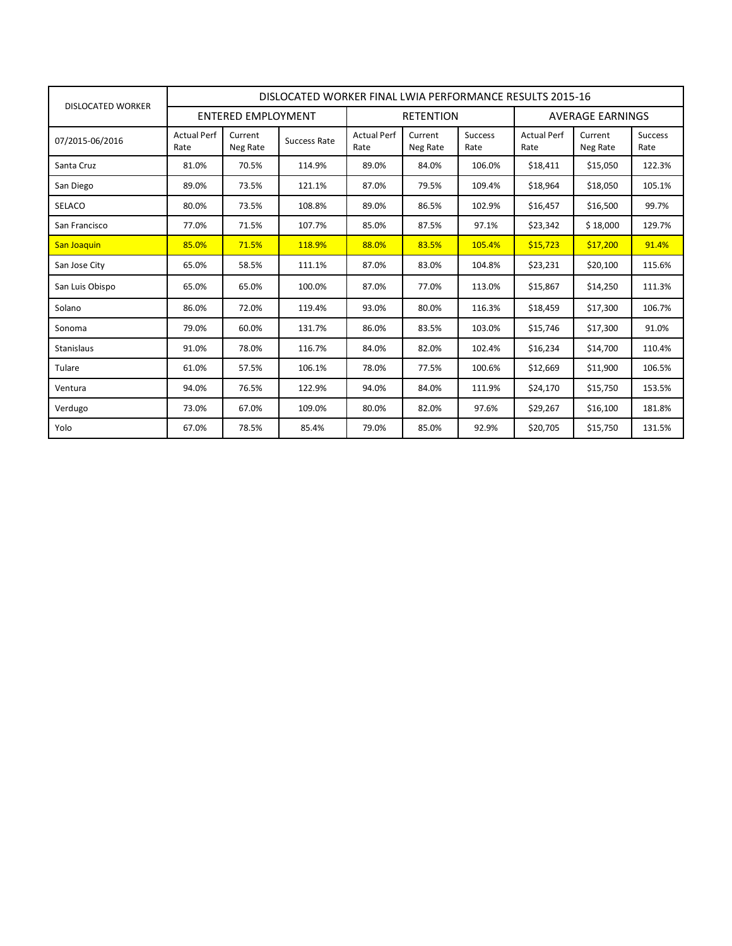| DISLOCATED WORKER  | DISLOCATED WORKER FINAL LWIA PERFORMANCE RESULTS 2015-16 |                     |              |                            |                     |                        |                            |                     |                        |  |
|--------------------|----------------------------------------------------------|---------------------|--------------|----------------------------|---------------------|------------------------|----------------------------|---------------------|------------------------|--|
|                    | <b>ENTERED EMPLOYMENT</b>                                |                     |              | <b>RETENTION</b>           |                     |                        | AVERAGE EARNINGS           |                     |                        |  |
| 07/2015-06/2016    | <b>Actual Perf</b><br>Rate                               | Current<br>Neg Rate | Success Rate | <b>Actual Perf</b><br>Rate | Current<br>Neg Rate | <b>Success</b><br>Rate | <b>Actual Perf</b><br>Rate | Current<br>Neg Rate | <b>Success</b><br>Rate |  |
| Santa Cruz         | 81.0%                                                    | 70.5%               | 114.9%       | 89.0%                      | 84.0%               | 106.0%                 | \$18,411                   | \$15,050            | 122.3%                 |  |
| San Diego          | 89.0%                                                    | 73.5%               | 121.1%       | 87.0%                      | 79.5%               | 109.4%                 | \$18,964                   | \$18,050            | 105.1%                 |  |
| <b>SELACO</b>      | 80.0%                                                    | 73.5%               | 108.8%       | 89.0%                      | 86.5%               | 102.9%                 | \$16,457                   | \$16,500            | 99.7%                  |  |
| San Francisco      | 77.0%                                                    | 71.5%               | 107.7%       | 85.0%                      | 87.5%               | 97.1%                  | \$23,342                   | \$18,000            | 129.7%                 |  |
| <b>San Joaquin</b> | 85.0%                                                    | 71.5%               | 118.9%       | 88.0%                      | 83.5%               | 105.4%                 | \$15,723                   | \$17,200            | 91.4%                  |  |
| San Jose City      | 65.0%                                                    | 58.5%               | 111.1%       | 87.0%                      | 83.0%               | 104.8%                 | \$23,231                   | \$20,100            | 115.6%                 |  |
| San Luis Obispo    | 65.0%                                                    | 65.0%               | 100.0%       | 87.0%                      | 77.0%               | 113.0%                 | \$15,867                   | \$14,250            | 111.3%                 |  |
| Solano             | 86.0%                                                    | 72.0%               | 119.4%       | 93.0%                      | 80.0%               | 116.3%                 | \$18,459                   | \$17,300            | 106.7%                 |  |
| Sonoma             | 79.0%                                                    | 60.0%               | 131.7%       | 86.0%                      | 83.5%               | 103.0%                 | \$15,746                   | \$17,300            | 91.0%                  |  |
| Stanislaus         | 91.0%                                                    | 78.0%               | 116.7%       | 84.0%                      | 82.0%               | 102.4%                 | \$16,234                   | \$14,700            | 110.4%                 |  |
| Tulare             | 61.0%                                                    | 57.5%               | 106.1%       | 78.0%                      | 77.5%               | 100.6%                 | \$12,669                   | \$11,900            | 106.5%                 |  |
| Ventura            | 94.0%                                                    | 76.5%               | 122.9%       | 94.0%                      | 84.0%               | 111.9%                 | \$24,170                   | \$15,750            | 153.5%                 |  |
| Verdugo            | 73.0%                                                    | 67.0%               | 109.0%       | 80.0%                      | 82.0%               | 97.6%                  | \$29,267                   | \$16,100            | 181.8%                 |  |
| Yolo               | 67.0%                                                    | 78.5%               | 85.4%        | 79.0%                      | 85.0%               | 92.9%                  | \$20,705                   | \$15,750            | 131.5%                 |  |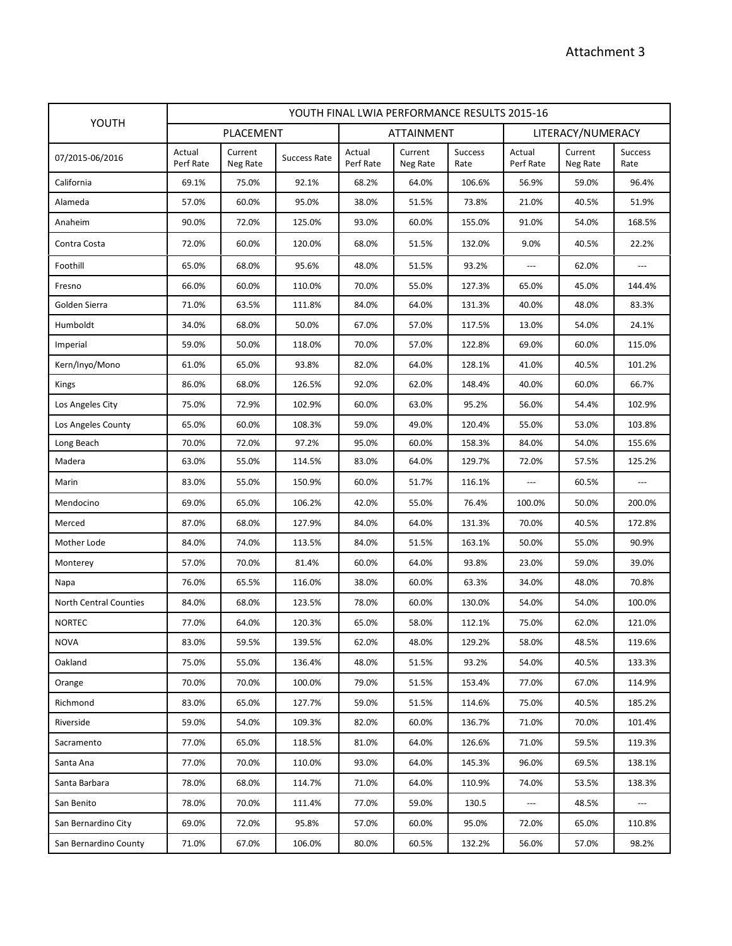|                               | YOUTH FINAL LWIA PERFORMANCE RESULTS 2015-16 |                     |                     |                     |                     |                        |                          |                     |                        |  |
|-------------------------------|----------------------------------------------|---------------------|---------------------|---------------------|---------------------|------------------------|--------------------------|---------------------|------------------------|--|
| YOUTH                         |                                              | PLACEMENT           |                     |                     | ATTAINMENT          |                        |                          | LITERACY/NUMERACY   |                        |  |
| 07/2015-06/2016               | Actual<br>Perf Rate                          | Current<br>Neg Rate | <b>Success Rate</b> | Actual<br>Perf Rate | Current<br>Neg Rate | <b>Success</b><br>Rate | Actual<br>Perf Rate      | Current<br>Neg Rate | <b>Success</b><br>Rate |  |
| California                    | 69.1%                                        | 75.0%               | 92.1%               | 68.2%               | 64.0%               | 106.6%                 | 56.9%                    | 59.0%               | 96.4%                  |  |
| Alameda                       | 57.0%                                        | 60.0%               | 95.0%               | 38.0%               | 51.5%               | 73.8%                  | 21.0%                    | 40.5%               | 51.9%                  |  |
| Anaheim                       | 90.0%                                        | 72.0%               | 125.0%              | 93.0%               | 60.0%               | 155.0%                 | 91.0%                    | 54.0%               | 168.5%                 |  |
| Contra Costa                  | 72.0%                                        | 60.0%               | 120.0%              | 68.0%               | 51.5%               | 132.0%                 | 9.0%                     | 40.5%               | 22.2%                  |  |
| Foothill                      | 65.0%                                        | 68.0%               | 95.6%               | 48.0%               | 51.5%               | 93.2%                  | $---$                    | 62.0%               | $\overline{a}$         |  |
| Fresno                        | 66.0%                                        | 60.0%               | 110.0%              | 70.0%               | 55.0%               | 127.3%                 | 65.0%                    | 45.0%               | 144.4%                 |  |
| Golden Sierra                 | 71.0%                                        | 63.5%               | 111.8%              | 84.0%               | 64.0%               | 131.3%                 | 40.0%                    | 48.0%               | 83.3%                  |  |
| Humboldt                      | 34.0%                                        | 68.0%               | 50.0%               | 67.0%               | 57.0%               | 117.5%                 | 13.0%                    | 54.0%               | 24.1%                  |  |
| Imperial                      | 59.0%                                        | 50.0%               | 118.0%              | 70.0%               | 57.0%               | 122.8%                 | 69.0%                    | 60.0%               | 115.0%                 |  |
| Kern/Inyo/Mono                | 61.0%                                        | 65.0%               | 93.8%               | 82.0%               | 64.0%               | 128.1%                 | 41.0%                    | 40.5%               | 101.2%                 |  |
| Kings                         | 86.0%                                        | 68.0%               | 126.5%              | 92.0%               | 62.0%               | 148.4%                 | 40.0%                    | 60.0%               | 66.7%                  |  |
| Los Angeles City              | 75.0%                                        | 72.9%               | 102.9%              | 60.0%               | 63.0%               | 95.2%                  | 56.0%                    | 54.4%               | 102.9%                 |  |
| Los Angeles County            | 65.0%                                        | 60.0%               | 108.3%              | 59.0%               | 49.0%               | 120.4%                 | 55.0%                    | 53.0%               | 103.8%                 |  |
| Long Beach                    | 70.0%                                        | 72.0%               | 97.2%               | 95.0%               | 60.0%               | 158.3%                 | 84.0%                    | 54.0%               | 155.6%                 |  |
| Madera                        | 63.0%                                        | 55.0%               | 114.5%              | 83.0%               | 64.0%               | 129.7%                 | 72.0%                    | 57.5%               | 125.2%                 |  |
| Marin                         | 83.0%                                        | 55.0%               | 150.9%              | 60.0%               | 51.7%               | 116.1%                 | $\overline{a}$           | 60.5%               | $\overline{a}$         |  |
| Mendocino                     | 69.0%                                        | 65.0%               | 106.2%              | 42.0%               | 55.0%               | 76.4%                  | 100.0%                   | 50.0%               | 200.0%                 |  |
| Merced                        | 87.0%                                        | 68.0%               | 127.9%              | 84.0%               | 64.0%               | 131.3%                 | 70.0%                    | 40.5%               | 172.8%                 |  |
| Mother Lode                   | 84.0%                                        | 74.0%               | 113.5%              | 84.0%               | 51.5%               | 163.1%                 | 50.0%                    | 55.0%               | 90.9%                  |  |
| Monterey                      | 57.0%                                        | 70.0%               | 81.4%               | 60.0%               | 64.0%               | 93.8%                  | 23.0%                    | 59.0%               | 39.0%                  |  |
| Napa                          | 76.0%                                        | 65.5%               | 116.0%              | 38.0%               | 60.0%               | 63.3%                  | 34.0%                    | 48.0%               | 70.8%                  |  |
| <b>North Central Counties</b> | 84.0%                                        | 68.0%               | 123.5%              | 78.0%               | 60.0%               | 130.0%                 | 54.0%                    | 54.0%               | 100.0%                 |  |
| <b>NORTEC</b>                 | 77.0%                                        | 64.0%               | 120.3%              | 65.0%               | 58.0%               | 112.1%                 | 75.0%                    | 62.0%               | 121.0%                 |  |
| <b>NOVA</b>                   | 83.0%                                        | 59.5%               | 139.5%              | 62.0%               | 48.0%               | 129.2%                 | 58.0%                    | 48.5%               | 119.6%                 |  |
| Oakland                       | 75.0%                                        | 55.0%               | 136.4%              | 48.0%               | 51.5%               | 93.2%                  | 54.0%                    | 40.5%               | 133.3%                 |  |
| Orange                        | 70.0%                                        | 70.0%               | 100.0%              | 79.0%               | 51.5%               | 153.4%                 | 77.0%                    | 67.0%               | 114.9%                 |  |
| Richmond                      | 83.0%                                        | 65.0%               | 127.7%              | 59.0%               | 51.5%               | 114.6%                 | 75.0%                    | 40.5%               | 185.2%                 |  |
| Riverside                     | 59.0%                                        | 54.0%               | 109.3%              | 82.0%               | 60.0%               | 136.7%                 | 71.0%                    | 70.0%               | 101.4%                 |  |
| Sacramento                    | 77.0%                                        | 65.0%               | 118.5%              | 81.0%               | 64.0%               | 126.6%                 | 71.0%                    | 59.5%               | 119.3%                 |  |
| Santa Ana                     | 77.0%                                        | 70.0%               | 110.0%              | 93.0%               | 64.0%               | 145.3%                 | 96.0%                    | 69.5%               | 138.1%                 |  |
| Santa Barbara                 | 78.0%                                        | 68.0%               | 114.7%              | 71.0%               | 64.0%               | 110.9%                 | 74.0%                    | 53.5%               | 138.3%                 |  |
| San Benito                    | 78.0%                                        | 70.0%               | 111.4%              | 77.0%               | 59.0%               | 130.5                  | $\hspace{0.05cm} \ldots$ | 48.5%               | $\qquad \qquad - -$    |  |
| San Bernardino City           | 69.0%                                        | 72.0%               | 95.8%               | 57.0%               | 60.0%               | 95.0%                  | 72.0%                    | 65.0%               | 110.8%                 |  |
| San Bernardino County         | 71.0%                                        | 67.0%               | 106.0%              | 80.0%               | 60.5%               | 132.2%                 | 56.0%                    | 57.0%               | 98.2%                  |  |